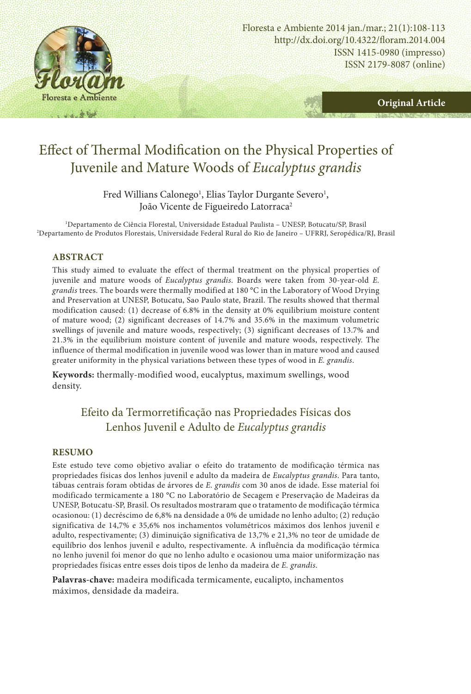

http://dx.doi.org/10.4322/floram.2014.004 ISSN 1415-0980 (impresso) ISSN 2179-8087 (online) Floresta e Ambiente 2014 jan./mar.; 21(1):108-113

**Original Article**

# Effect of Thermal Modification on the Physical Properties of Juvenile and Mature Woods of *Eucalyptus grandis*

Fred Willians Calonego<sup>1</sup>, Elias Taylor Durgante Severo<sup>1</sup>, João Vicente de Figueiredo Latorraca<sup>2</sup>

1 Departamento de Ciência Florestal, Universidade Estadual Paulista – UNESP, Botucatu/SP, Brasil 2 Departamento de Produtos Florestais, Universidade Federal Rural do Rio de Janeiro – UFRRJ, Seropédica/RJ, Brasil

#### **ABSTRACT**

This study aimed to evaluate the effect of thermal treatment on the physical properties of juvenile and mature woods of *Eucalyptus grandis*. Boards were taken from 30-year-old *E. grandis* trees. The boards were thermally modified at 180 °C in the Laboratory of Wood Drying and Preservation at UNESP, Botucatu, Sao Paulo state, Brazil. The results showed that thermal modification caused: (1) decrease of 6.8% in the density at 0% equilibrium moisture content of mature wood; (2) significant decreases of 14.7% and 35.6% in the maximum volumetric swellings of juvenile and mature woods, respectively; (3) significant decreases of 13.7% and 21.3% in the equilibrium moisture content of juvenile and mature woods, respectively. The influence of thermal modification in juvenile wood was lower than in mature wood and caused greater uniformity in the physical variations between these types of wood in *E. grandis*.

**Keywords:** thermally-modified wood, eucalyptus, maximum swellings, wood density.

# Efeito da Termorretificação nas Propriedades Físicas dos Lenhos Juvenil e Adulto de *Eucalyptus grandis*

#### **RESUMO**

Este estudo teve como objetivo avaliar o efeito do tratamento de modificação térmica nas propriedades físicas dos lenhos juvenil e adulto da madeira de *Eucalyptus grandis*. Para tanto, tábuas centrais foram obtidas de árvores de *E. grandis* com 30 anos de idade. Esse material foi modificado termicamente a 180 °C no Laboratório de Secagem e Preservação de Madeiras da UNESP, Botucatu-SP, Brasil. Os resultados mostraram que o tratamento de modificação térmica ocasionou: (1) decréscimo de 6,8% na densidade a 0% de umidade no lenho adulto; (2) redução significativa de 14,7% e 35,6% nos inchamentos volumétricos máximos dos lenhos juvenil e adulto, respectivamente; (3) diminuição significativa de 13,7% e 21,3% no teor de umidade de equilíbrio dos lenhos juvenil e adulto, respectivamente. A influência da modificação térmica no lenho juvenil foi menor do que no lenho adulto e ocasionou uma maior uniformização nas propriedades físicas entre esses dois tipos de lenho da madeira de *E. grandis*.

**Palavras-chave:** madeira modificada termicamente, eucalipto, inchamentos máximos, densidade da madeira.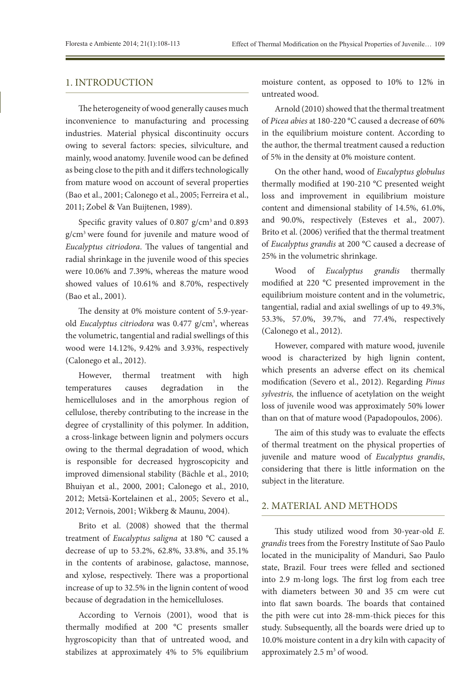#### 1. INTRODUCTION

The heterogeneity of wood generally causes much inconvenience to manufacturing and processing industries. Material physical discontinuity occurs owing to several factors: species, silviculture, and mainly, wood anatomy. Juvenile wood can be defined as being close to the pith and it differs technologically from mature wood on account of several properties (Bao et al., 2001; Calonego et al., 2005; Ferreira et al., 2011; Zobel & Van Buijtenen, 1989).

Specific gravity values of 0.807 g/cm<sup>3</sup> and 0.893 g/cm3 were found for juvenile and mature wood of *Eucalyptus citriodora*. The values of tangential and radial shrinkage in the juvenile wood of this species were 10.06% and 7.39%, whereas the mature wood showed values of 10.61% and 8.70%, respectively (Bao et al., 2001).

The density at 0% moisture content of 5.9-yearold *Eucalyptus citriodora* was 0.477 g/cm<sup>3</sup>, whereas the volumetric, tangential and radial swellings of this wood were 14.12%, 9.42% and 3.93%, respectively (Calonego et al., 2012).

However, thermal treatment with high temperatures causes degradation in the hemicelluloses and in the amorphous region of cellulose, thereby contributing to the increase in the degree of crystallinity of this polymer. In addition, a cross-linkage between lignin and polymers occurs owing to the thermal degradation of wood, which is responsible for decreased hygroscopicity and improved dimensional stability (Bächle et al., 2010; Bhuiyan et al., 2000, 2001; Calonego et al., 2010, 2012; Metsä-Kortelainen et al., 2005; Severo et al., 2012; Vernois, 2001; Wikberg & Maunu, 2004).

Brito et al. (2008) showed that the thermal treatment of *Eucalyptus saligna* at 180 °C caused a decrease of up to 53.2%, 62.8%, 33.8%, and 35.1% in the contents of arabinose, galactose, mannose, and xylose, respectively. There was a proportional increase of up to 32.5% in the lignin content of wood because of degradation in the hemicelluloses.

According to Vernois (2001), wood that is thermally modified at 200 °C presents smaller hygroscopicity than that of untreated wood, and stabilizes at approximately 4% to 5% equilibrium

moisture content, as opposed to 10% to 12% in untreated wood.

Arnold (2010) showed that the thermal treatment of *Picea abies* at 180-220 °C caused a decrease of 60% in the equilibrium moisture content. According to the author, the thermal treatment caused a reduction of 5% in the density at 0% moisture content.

On the other hand, wood of *Eucalyptus globulus* thermally modified at 190-210 °C presented weight loss and improvement in equilibrium moisture content and dimensional stability of 14.5%, 61.0%, and 90.0%, respectively (Esteves et al., 2007). Brito et al. (2006) verified that the thermal treatment of *Eucalyptus grandis* at 200 °C caused a decrease of 25% in the volumetric shrinkage.

Wood of *Eucalyptus grandis* thermally modified at 220 °C presented improvement in the equilibrium moisture content and in the volumetric, tangential, radial and axial swellings of up to 49.3%, 53.3%, 57.0%, 39.7%, and 77.4%, respectively (Calonego et al., 2012).

However, compared with mature wood, juvenile wood is characterized by high lignin content, which presents an adverse effect on its chemical modification (Severo et al., 2012). Regarding *Pinus sylvestris,* the influence of acetylation on the weight loss of juvenile wood was approximately 50% lower than on that of mature wood (Papadopoulos, 2006).

The aim of this study was to evaluate the effects of thermal treatment on the physical properties of juvenile and mature wood of *Eucalyptus grandis*, considering that there is little information on the subject in the literature.

# 2. MATERIAL AND METHODS

This study utilized wood from 30-year-old *E. grandis* trees from the Forestry Institute of Sao Paulo located in the municipality of Manduri, Sao Paulo state, Brazil. Four trees were felled and sectioned into 2.9 m-long logs. The first log from each tree with diameters between 30 and 35 cm were cut into flat sawn boards. The boards that contained the pith were cut into 28-mm-thick pieces for this study. Subsequently, all the boards were dried up to 10.0% moisture content in a dry kiln with capacity of approximately 2.5 m<sup>3</sup> of wood.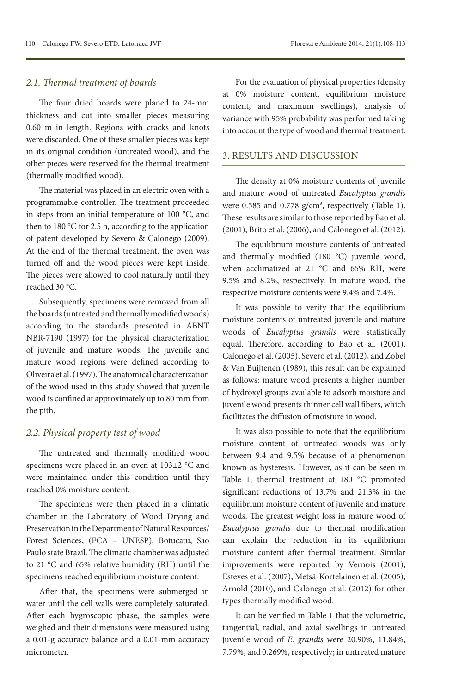#### *2.1. Thermal treatment of boards*

The four dried boards were planed to 24-mm thickness and cut into smaller pieces measuring 0.60 m in length. Regions with cracks and knots were discarded. One of these smaller pieces was kept in its original condition (untreated wood), and the other pieces were reserved for the thermal treatment (thermally modified wood).

The material was placed in an electric oven with a programmable controller. The treatment proceeded in steps from an initial temperature of 100 °C, and then to 180 °C for 2.5 h, according to the application of patent developed by Severo & Calonego (2009). At the end of the thermal treatment, the oven was turned off and the wood pieces were kept inside. The pieces were allowed to cool naturally until they reached 30 °C.

Subsequently, specimens were removed from all the boards (untreated and thermally modified woods) according to the standards presented in ABNT NBR-7190 (1997) for the physical characterization of juvenile and mature woods. The juvenile and mature wood regions were defined according to Oliveira et al. (1997). The anatomical characterization of the wood used in this study showed that juvenile wood is confined at approximately up to 80 mm from the pith.

#### *2.2. Physical property test of wood*

The untreated and thermally modified wood specimens were placed in an oven at 103±2 °C and were maintained under this condition until they reached 0% moisture content.

The specimens were then placed in a climatic chamber in the Laboratory of Wood Drying and Preservation in the Department of Natural Resources/ Forest Sciences, (FCA – UNESP), Botucatu, Sao Paulo state Brazil. The climatic chamber was adjusted to 21 °C and 65% relative humidity (RH) until the specimens reached equilibrium moisture content.

After that, the specimens were submerged in water until the cell walls were completely saturated. After each hygroscopic phase, the samples were weighed and their dimensions were measured using a 0.01-g accuracy balance and a 0.01-mm accuracy micrometer.

For the evaluation of physical properties (density at 0% moisture content, equilibrium moisture content, and maximum swellings), analysis of variance with 95% probability was performed taking into account the type of wood and thermal treatment.

# 3. RESULTS AND DISCUSSION

The density at 0% moisture contents of juvenile and mature wood of untreated *Eucalyptus grandis*  were  $0.585$  and  $0.778$  g/cm<sup>3</sup>, respectively (Table 1). These results are similar to those reported by Bao et al. (2001), Brito et al. (2006), and Calonego et al. (2012).

The equilibrium moisture contents of untreated and thermally modified (180 °C) juvenile wood, when acclimatized at 21 °C and 65% RH, were 9.5% and 8.2%, respectively. In mature wood, the respective moisture contents were 9.4% and 7.4%.

It was possible to verify that the equilibrium moisture contents of untreated juvenile and mature woods of *Eucalyptus grandis* were statistically equal. Therefore, according to Bao et al. (2001), Calonego et al. (2005), Severo et al. (2012), and Zobel & Van Buijtenen (1989), this result can be explained as follows: mature wood presents a higher number of hydroxyl groups available to adsorb moisture and juvenile wood presents thinner cell wall fibers, which facilitates the diffusion of moisture in wood.

It was also possible to note that the equilibrium moisture content of untreated woods was only between 9.4 and 9.5% because of a phenomenon known as hysteresis. However, as it can be seen in Table 1, thermal treatment at 180 °C promoted significant reductions of 13.7% and 21.3% in the equilibrium moisture content of juvenile and mature woods. The greatest weight loss in mature wood of *Eucalyptus grandis* due to thermal modification can explain the reduction in its equilibrium moisture content after thermal treatment. Similar improvements were reported by Vernois (2001), Esteves et al. (2007), Metsä-Kortelainen et al. (2005), Arnold (2010), and Calonego et al. (2012) for other types thermally modified wood.

It can be verified in Table 1 that the volumetric, tangential, radial, and axial swellings in untreated juvenile wood of *E. grandis* were 20.90%, 11.84%, 7.79%, and 0.269%, respectively; in untreated mature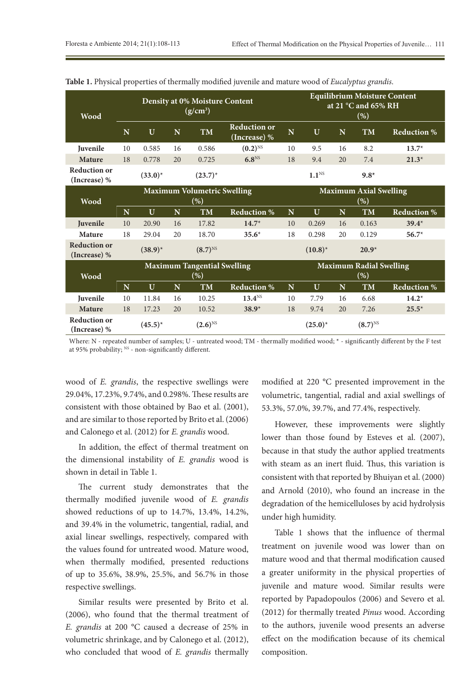| <b>Wood</b>                         | <b>Density at 0% Moisture Content</b><br>$(g/cm^3)$ |              |    |              |                                     | <b>Equilibrium Moisture Content</b><br>at 21 $^{\circ}$ C and 65% RH<br>$(\% )$ |                                |    |              |                    |  |
|-------------------------------------|-----------------------------------------------------|--------------|----|--------------|-------------------------------------|---------------------------------------------------------------------------------|--------------------------------|----|--------------|--------------------|--|
|                                     | N                                                   | U            | N  | <b>TM</b>    | <b>Reduction or</b><br>(Increase) % | N                                                                               | U                              | N  | <b>TM</b>    | <b>Reduction %</b> |  |
| Juvenile                            | 10                                                  | 0.585        | 16 | 0.586        | $(0.2)^{NS}$                        | 10                                                                              | 9.5                            | 16 | 8.2          | $13.7*$            |  |
| <b>Mature</b>                       | 18                                                  | 0.778        | 20 | 0.725        | 6.8 <sup>NS</sup>                   | 18                                                                              | 9.4                            | 20 | 7.4          | $21.3*$            |  |
| <b>Reduction or</b><br>(Increase) % |                                                     | $(33.0)^{*}$ |    | $(23.7)^{*}$ |                                     |                                                                                 | 1.1 <sup>NS</sup>              |    | $9.8*$       |                    |  |
|                                     | <b>Maximum Volumetric Swelling</b>                  |              |    |              |                                     |                                                                                 | <b>Maximum Axial Swelling</b>  |    |              |                    |  |
| <b>Wood</b>                         | (%)                                                 |              |    |              |                                     | $(\% )$                                                                         |                                |    |              |                    |  |
|                                     | N                                                   | U            | N  | <b>TM</b>    | <b>Reduction %</b>                  | N                                                                               | U                              | N  | <b>TM</b>    | <b>Reduction %</b> |  |
| Juvenile                            | 10                                                  | 20.90        | 16 | 17.82        | $14.7*$                             | 10                                                                              | 0.269                          | 16 | 0.163        | $39.4*$            |  |
| Mature                              | 18                                                  | 29.04        | 20 | 18.70        | $35.6*$                             | 18                                                                              | 0.298                          | 20 | 0.129        | $56.7*$            |  |
| <b>Reduction or</b><br>(Increase) % |                                                     | $(38.9)^*$   |    | $(8.7)^{NS}$ |                                     |                                                                                 | $(10.8)^{*}$                   |    | $20.9*$      |                    |  |
| <b>Wood</b>                         | <b>Maximum Tangential Swelling</b>                  |              |    |              |                                     |                                                                                 | <b>Maximum Radial Swelling</b> |    |              |                    |  |
|                                     | (%)                                                 |              |    |              |                                     |                                                                                 | $(\% )$                        |    |              |                    |  |
|                                     | N                                                   | U            | N  | <b>TM</b>    | <b>Reduction %</b>                  | N                                                                               | U                              | N  | <b>TM</b>    | <b>Reduction %</b> |  |
| Juvenile                            | 10                                                  | 11.84        | 16 | 10.25        | 13.4 <sup>NS</sup>                  | 10                                                                              | 7.79                           | 16 | 6.68         | $14.2*$            |  |
| <b>Mature</b>                       | 18                                                  | 17.23        | 20 | 10.52        | $38.9*$                             | 18                                                                              | 9.74                           | 20 | 7.26         | $25.5*$            |  |
| <b>Reduction or</b><br>(Increase) % |                                                     | $(45.5)^*$   |    | $(2.6)^{NS}$ |                                     |                                                                                 | $(25.0)^{*}$                   |    | $(8.7)^{NS}$ |                    |  |

**Table 1.** Physical properties of thermally modified juvenile and mature wood of *Eucalyptus grandis*.

Where: N - repeated number of samples; U - untreated wood; TM - thermally modified wood; \* - significantly different by the F test at 95% probability; <sup>NS</sup> - non-significantly different.

wood of *E. grandis*, the respective swellings were 29.04%, 17.23%, 9.74%, and 0.298%. These results are consistent with those obtained by Bao et al. (2001), and are similar to those reported by Brito et al. (2006) and Calonego et al. (2012) for *E. grandis* wood.

In addition, the effect of thermal treatment on the dimensional instability of *E. grandis* wood is shown in detail in Table 1.

The current study demonstrates that the thermally modified juvenile wood of *E. grandis* showed reductions of up to 14.7%, 13.4%, 14.2%, and 39.4% in the volumetric, tangential, radial, and axial linear swellings, respectively, compared with the values found for untreated wood. Mature wood, when thermally modified, presented reductions of up to 35.6%, 38.9%, 25.5%, and 56.7% in those respective swellings.

Similar results were presented by Brito et al. (2006), who found that the thermal treatment of *E. grandis* at 200 °C caused a decrease of 25% in volumetric shrinkage, and by Calonego et al. (2012), who concluded that wood of *E. grandis* thermally modified at 220 °C presented improvement in the volumetric, tangential, radial and axial swellings of 53.3%, 57.0%, 39.7%, and 77.4%, respectively.

However, these improvements were slightly lower than those found by Esteves et al. (2007), because in that study the author applied treatments with steam as an inert fluid. Thus, this variation is consistent with that reported by Bhuiyan et al. (2000) and Arnold (2010), who found an increase in the degradation of the hemicelluloses by acid hydrolysis under high humidity.

Table 1 shows that the influence of thermal treatment on juvenile wood was lower than on mature wood and that thermal modification caused a greater uniformity in the physical properties of juvenile and mature wood. Similar results were reported by Papadopoulos (2006) and Severo et al. (2012) for thermally treated *Pinus* wood. According to the authors, juvenile wood presents an adverse effect on the modification because of its chemical composition.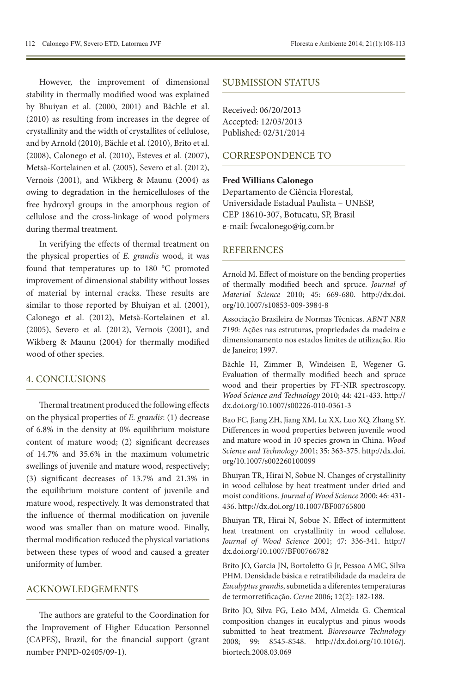However, the improvement of dimensional stability in thermally modified wood was explained by Bhuiyan et al. (2000, 2001) and Bächle et al. (2010) as resulting from increases in the degree of crystallinity and the width of crystallites of cellulose, and by Arnold (2010), Bächle et al. (2010), Brito et al. (2008), Calonego et al. (2010), Esteves et al. (2007), Metsä-Kortelainen et al. (2005), Severo et al. (2012), Vernois (2001), and Wikberg & Maunu (2004) as owing to degradation in the hemicelluloses of the free hydroxyl groups in the amorphous region of cellulose and the cross-linkage of wood polymers during thermal treatment.

In verifying the effects of thermal treatment on the physical properties of *E. grandis* wood*,* it was found that temperatures up to 180 °C promoted improvement of dimensional stability without losses of material by internal cracks. These results are similar to those reported by Bhuiyan et al. (2001), Calonego et al. (2012), Metsä-Kortelainen et al. (2005), Severo et al. (2012), Vernois (2001), and Wikberg & Maunu (2004) for thermally modified wood of other species.

# 4. CONCLUSIONS

Thermal treatment produced the following effects on the physical properties of *E. grandis*: (1) decrease of 6.8% in the density at 0% equilibrium moisture content of mature wood; (2) significant decreases of 14.7% and 35.6% in the maximum volumetric swellings of juvenile and mature wood, respectively; (3) significant decreases of 13.7% and 21.3% in the equilibrium moisture content of juvenile and mature wood, respectively. It was demonstrated that the influence of thermal modification on juvenile wood was smaller than on mature wood. Finally, thermal modification reduced the physical variations between these types of wood and caused a greater uniformity of lumber.

#### ACKNOWLEDGEMENTS

The authors are grateful to the Coordination for the Improvement of Higher Education Personnel (CAPES), Brazil, for the financial support (grant number PNPD-02405/09-1).

#### SUBMISSION STATUS

Received: 06/20/2013 Accepted: 12/03/2013 Published: 02/31/2014

# CORRESPONDENCE TO

#### **Fred Willians Calonego**

Departamento de Ciência Florestal, Universidade Estadual Paulista – UNESP, CEP 18610-307, Botucatu, SP, Brasil e-mail: fwcalonego@ig.com.br

# **REFERENCES**

Arnold M. Effect of moisture on the bending properties of thermally modified beech and spruce. *Journal of Material Science* 2010; 45: 669-680. [http://dx.doi.](http://dx.doi.org/10.1007/s10853-009-3984-8) [org/10.1007/s10853-009-3984-8](http://dx.doi.org/10.1007/s10853-009-3984-8)

Associação Brasileira de Normas Técnicas. *ABNT NBR 7190*: Ações nas estruturas, propriedades da madeira e dimensionamento nos estados limites de utilização. Rio de Janeiro; 1997.

Bächle H, Zimmer B, Windeisen E, Wegener G. Evaluation of thermally modified beech and spruce wood and their properties by FT-NIR spectroscopy. *Wood Science and Technology* 2010; 44: 421-433. [http://](http://dx.doi.org/10.1007/s00226-010-0361-3) [dx.doi.org/10.1007/s00226-010-0361-3](http://dx.doi.org/10.1007/s00226-010-0361-3)

Bao FC, Jiang ZH, Jiang XM, Lu XX, Luo XQ, Zhang SY. Differences in wood properties between juvenile wood and mature wood in 10 species grown in China. *Wood Science and Technology* 2001; 35: 363-375. [http://dx.doi.](http://dx.doi.org/10.1007/s002260100099) [org/10.1007/s002260100099](http://dx.doi.org/10.1007/s002260100099)

Bhuiyan TR, Hirai N, Sobue N. Changes of crystallinity in wood cellulose by heat treatment under dried and moist conditions. *Journal of Wood Science* 2000; 46: 431- 436. <http://dx.doi.org/10.1007/BF00765800>

Bhuiyan TR, Hirai N, Sobue N. Effect of intermittent heat treatment on crystallinity in wood cellulose. *Journal of Wood Science* 2001; 47: 336-341. [http://](http://dx.doi.org/10.1007/BF00766782) [dx.doi.org/10.1007/BF00766782](http://dx.doi.org/10.1007/BF00766782)

Brito JO, Garcia JN, Bortoletto G Jr, Pessoa AMC, Silva PHM. Densidade básica e retratibilidade da madeira de *Eucalyptus grandis*, submetida a diferentes temperaturas de termorretificação. *Cerne* 2006; 12(2): 182-188.

Brito JO, Silva FG, Leão MM, Almeida G. Chemical composition changes in eucalyptus and pinus woods submitted to heat treatment. *Bioresource Technology* 2008; 99: 8545-8548. [http://dx.doi.org/10.1016/j.](http://dx.doi.org/10.1016/j.biortech.2008.03.069) [biortech.2008.03.069](http://dx.doi.org/10.1016/j.biortech.2008.03.069)